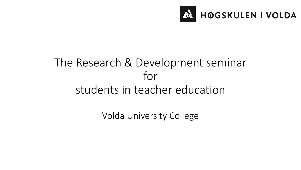

## The Research & Development seminar for students in teacher education

Volda University College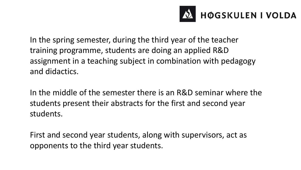

In the spring semester, during the third year of the teacher training programme, students are doing an applied R&D assignment in a teaching subject in combination with pedagogy and didactics.

In the middle of the semester there is an R&D seminar where the students present their abstracts for the first and second year students.

First and second year students, along with supervisors, act as opponents to the third year students.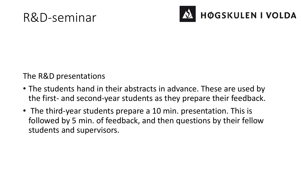## R&D-seminar



The R&D presentations

- The students hand in their abstracts in advance. These are used by the first- and second-year students as they prepare their feedback.
- The third-year students prepare a 10 min. presentation. This is followed by 5 min. of feedback, and then questions by their fellow students and supervisors.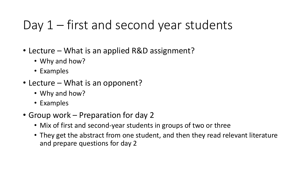## Day 1 – first and second year students

- Lecture What is an applied R&D assignment?
	- Why and how?
	- Examples
- Lecture What is an opponent?
	- Why and how?
	- Examples
- Group work Preparation for day 2
	- Mix of first and second-year students in groups of two or three
	- They get the abstract from one student, and then they read relevant literature and prepare questions for day 2